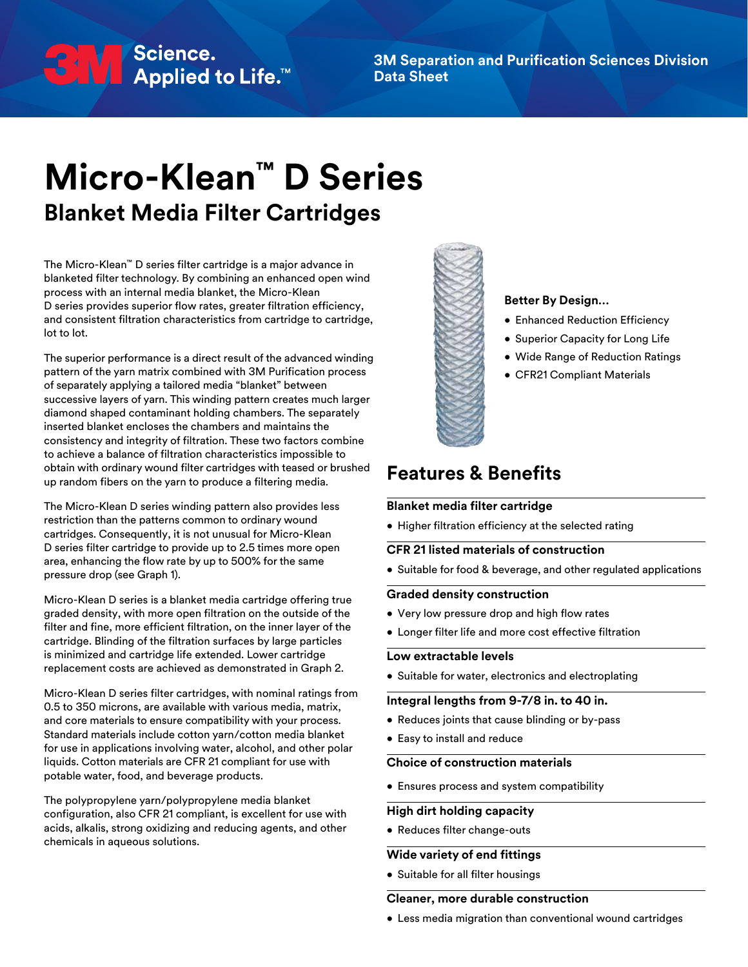# BHV Science.<br>■ Applied to Life.™

**3M Separation and Purification Sciences Division Data Sheet**

## **Micro-Klean™ D Series Blanket Media Filter Cartridges**

The Micro-Klean™ D series filter cartridge is a major advance in blanketed filter technology. By combining an enhanced open wind process with an internal media blanket, the Micro-Klean D series provides superior flow rates, greater filtration efficiency, and consistent filtration characteristics from cartridge to cartridge, lot to lot.

The superior performance is a direct result of the advanced winding pattern of the yarn matrix combined with 3M Purification process of separately applying a tailored media "blanket" between successive layers of yarn. This winding pattern creates much larger diamond shaped contaminant holding chambers. The separately inserted blanket encloses the chambers and maintains the consistency and integrity of filtration. These two factors combine to achieve a balance of filtration characteristics impossible to obtain with ordinary wound filter cartridges with teased or brushed up random fibers on the yarn to produce a filtering media.

The Micro-Klean D series winding pattern also provides less restriction than the patterns common to ordinary wound cartridges. Consequently, it is not unusual for Micro-Klean D series filter cartridge to provide up to 2.5 times more open area, enhancing the flow rate by up to 500% for the same pressure drop (see Graph 1).

Micro-Klean D series is a blanket media cartridge offering true graded density, with more open filtration on the outside of the filter and fine, more efficient filtration, on the inner layer of the cartridge. Blinding of the filtration surfaces by large particles is minimized and cartridge life extended. Lower cartridge replacement costs are achieved as demonstrated in Graph 2.

Micro-Klean D series filter cartridges, with nominal ratings from 0.5 to 350 microns, are available with various media, matrix, and core materials to ensure compatibility with your process. Standard materials include cotton yarn/cotton media blanket for use in applications involving water, alcohol, and other polar liquids. Cotton materials are CFR 21 compliant for use with potable water, food, and beverage products.

The polypropylene yarn/polypropylene media blanket configuration, also CFR 21 compliant, is excellent for use with acids, alkalis, strong oxidizing and reducing agents, and other chemicals in aqueous solutions.



#### **Better By Design…**

- Enhanced Reduction Efficiency
- Superior Capacity for Long Life
- Wide Range of Reduction Ratings
- CFR21 Compliant Materials

#### **Features & Benefits**

#### **Blanket media filter cartridge**

• Higher filtration efficiency at the selected rating

#### **CFR 21 listed materials of construction**

• Suitable for food & beverage, and other regulated applications

#### **Graded density construction**

- Very low pressure drop and high flow rates
- Longer filter life and more cost effective filtration

#### **Low extractable levels**

• Suitable for water, electronics and electroplating

#### **Integral lengths from 9-7/8 in. to 40 in.**

- Reduces joints that cause blinding or by-pass
- Easy to install and reduce

#### **Choice of construction materials**

• Ensures process and system compatibility

#### **High dirt holding capacity**

• Reduces filter change-outs

#### **Wide variety of end fittings**

• Suitable for all filter housings

#### **Cleaner, more durable construction**

• Less media migration than conventional wound cartridges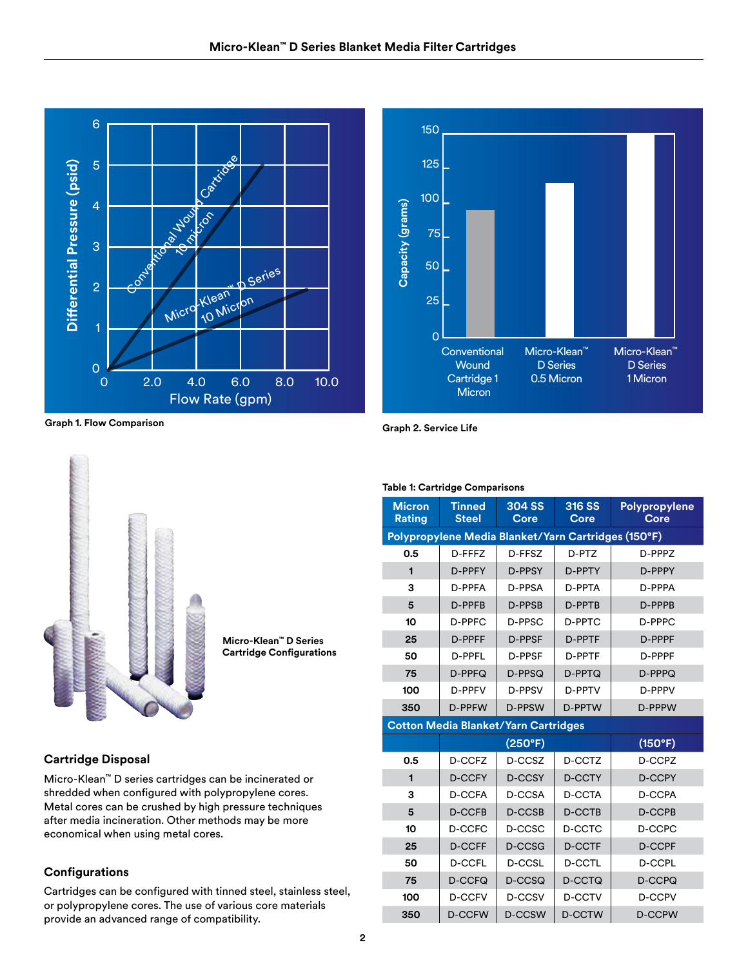



**Graph 1. Flow Comparison Graph 2. Service Life**



**Micro-Klean™ D Series Cartridge Configurations**

#### **Cartridge Disposal**

Micro-Klean™ D series cartridges can be incinerated or shredded when configured with polypropylene cores. Metal cores can be crushed by high pressure techniques after media incineration. Other methods may be more economical when using metal cores.

#### **Configurations**

Cartridges can be configured with tinned steel, stainless steel, or polypropylene cores. The use of various core materials provide an advanced range of compatibility.

**Table 1: Cartridge Comparisons**

| <b>Micron</b><br>Rating                             | <b>Tinned</b><br><b>Steel</b> | <b>304 SS</b><br>Core | 316 SS<br>Core | Polypropylene<br>Core |  |  |
|-----------------------------------------------------|-------------------------------|-----------------------|----------------|-----------------------|--|--|
| Polypropylene Media Blanket/Yarn Cartridges (150°F) |                               |                       |                |                       |  |  |
| 0.5                                                 | D-FFFZ                        | D-FFSZ                | D-PTZ          | D-PPP7                |  |  |
| $\blacksquare$                                      | D-PPFY                        | D-PPSY                | D-PPTY         | D-PPPY                |  |  |
| 3                                                   | D-PPFA                        | D-PPSA                | D-PPTA         | D-PPPA                |  |  |
| 5                                                   | D-PPFB                        | D-PPSB                | D-PPTB         | D-PPPB                |  |  |
| 10                                                  | $D-PPFC$                      | D-PPSC                | D-PPTC         | D-PPPC                |  |  |
| 25                                                  | D-PPFF                        | D-PPSF                | D-PPTF         | D-PPPF                |  |  |
| 50                                                  | D-PPFI                        | D-PPSF                | D-PPTF         | D-PPPF                |  |  |
| 75                                                  | D-PPFQ                        | D-PPSQ                | D-PPTQ         | D-PPPQ                |  |  |
| 100                                                 | D-PPFV                        | D-PPSV                | D-PPTV         | D-PPPV                |  |  |
| 350                                                 | D-PPFW                        | D-PPSW                | D-PPTW         | D-PPPW                |  |  |
| <b>Cotton Media Blanket/Yarn Cartridges</b>         |                               |                       |                |                       |  |  |
|                                                     | (250°F)                       |                       |                | (150°F)               |  |  |
| 0.5                                                 | D-CCFZ                        | D-CCSZ                | D-CCTZ         | D-CCPZ                |  |  |
| 1                                                   | <b>D-CCFY</b>                 | <b>D-CCSY</b>         | <b>D-CCTY</b>  | <b>D-CCPY</b>         |  |  |
| 3                                                   | D-CCFA<br>D-CCSA              |                       | D-CCTA         | D-CCPA                |  |  |
| 5                                                   | <b>D-CCFB</b>                 | D-CCSB                | D-CCTB         | <b>D-CCPB</b>         |  |  |
| 10                                                  | D-CCSC<br>D-CCFC              |                       | D-CCTC         | D-CCPC                |  |  |
| 25                                                  | <b>D-CCFF</b>                 | D-CCSG                | <b>D-CCTF</b>  | <b>D-CCPF</b>         |  |  |
| 50                                                  | <b>D-CCFL</b>                 | D-CCSL                | <b>D-CCTL</b>  | <b>D-CCPL</b>         |  |  |
| 75                                                  | D-CCFQ<br>D-CCSQ              |                       | D-CCTQ         | D-CCPQ                |  |  |
| 100                                                 | D-CCFV                        | D-CCSV                | D-CCTV         | <b>D-CCPV</b>         |  |  |
| 350                                                 | <b>D-CCFW</b>                 | D-CCSW                | D-CCTW         | <b>D-CCPW</b>         |  |  |

#### **2**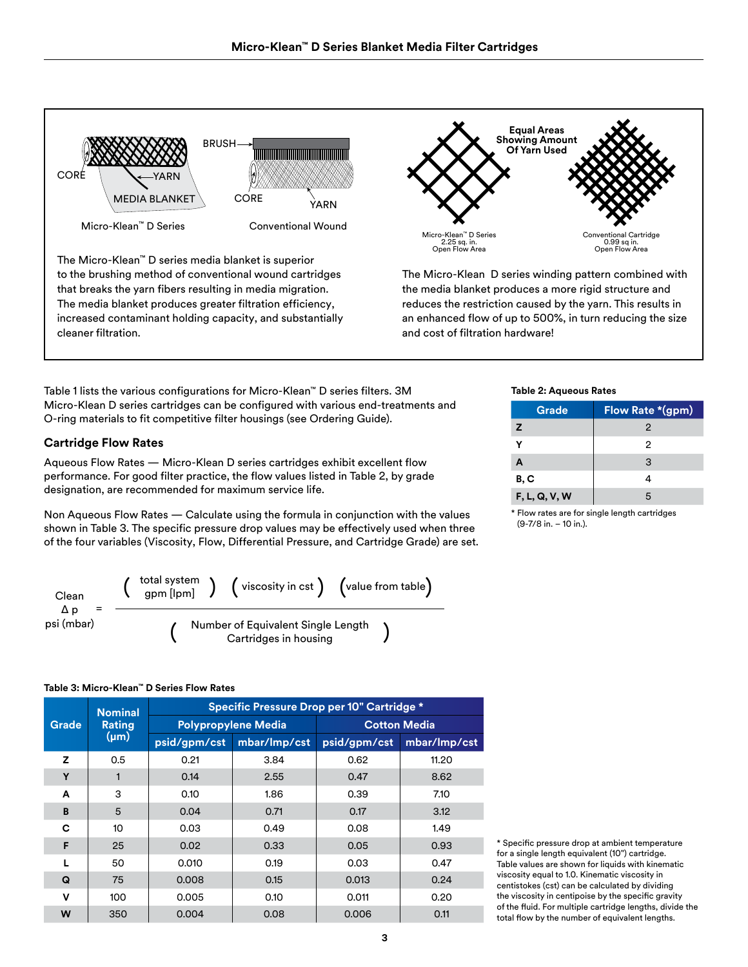

Table 1 lists the various configurations for Micro-Klean™ D series filters. 3M Micro-Klean D series cartridges can be configured with various end-treatments and O-ring materials to fit competitive filter housings (see Ordering Guide).

#### **Cartridge Flow Rates**

Aqueous Flow Rates — Micro-Klean D series cartridges exhibit excellent flow performance. For good filter practice, the flow values listed in Table 2, by grade designation, are recommended for maximum service life.

Non Aqueous Flow Rates — Calculate using the formula in conjunction with the values shown in Table 3. The specific pressure drop values may be effectively used when three of the four variables (Viscosity, Flow, Differential Pressure, and Cartridge Grade) are set.



#### **Table 3: Micro-Klean™ D Series Flow Rates**

| <b>Grade</b> | <b>Nominal</b>      | Specific Pressure Drop per 10" Cartridge * |                            |                     |              |  |  |  |
|--------------|---------------------|--------------------------------------------|----------------------------|---------------------|--------------|--|--|--|
|              | Rating<br>$(\mu m)$ |                                            | <b>Polypropylene Media</b> | <b>Cotton Media</b> |              |  |  |  |
|              |                     | psid/gpm/cst                               | mbar/Imp/cst               | psid/gpm/cst        | mbar/lmp/cst |  |  |  |
| z            | 0.5                 | 0.21                                       | 3.84                       | 0.62                | 11.20        |  |  |  |
| Y            |                     | 0.14                                       | 2.55                       | 0.47                | 8.62         |  |  |  |
| A            | 3                   | 0.10                                       | 1.86                       | 0.39                | 7.10         |  |  |  |
| B            | 5                   | 0.04                                       | 0.71                       | 0.17                | 3.12         |  |  |  |
| C            | 10 <sup>10</sup>    | 0.03                                       | 0.49                       | 0.08                | 1.49         |  |  |  |
| F            | 25                  | 0.02                                       | 0.33                       | 0.05                | 0.93         |  |  |  |
|              | 50                  | 0.010                                      | 0.19                       | 0.03                | 0.47         |  |  |  |
| Q            | 75                  | 0.008                                      | 0.15                       | 0.013               | 0.24         |  |  |  |
| v            | 100                 | 0.005                                      | 0.10                       | 0.011               | 0.20         |  |  |  |
| W            | 350                 | 0.004                                      | 0.08                       | 0.006               | 0.11         |  |  |  |

#### **Table 2: Aqueous Rates**

| Grade         | Flow Rate *(gpm) |  |  |  |  |
|---------------|------------------|--|--|--|--|
| z             | 2                |  |  |  |  |
| v             | 2                |  |  |  |  |
| A             | 3                |  |  |  |  |
| B, C          |                  |  |  |  |  |
| F, L, Q, V, W | 5                |  |  |  |  |

\* Flow rates are for single length cartridges (9-7/8 in. – 10 in.).

\* Specific pressure drop at ambient temperature for a single length equivalent (10") cartridge. Table values are shown for liquids with kinematic viscosity equal to 1.0. Kinematic viscosity in centistokes (cst) can be calculated by dividing the viscosity in centipoise by the specific gravity of the fluid. For multiple cartridge lengths, divide the total flow by the number of equivalent lengths.